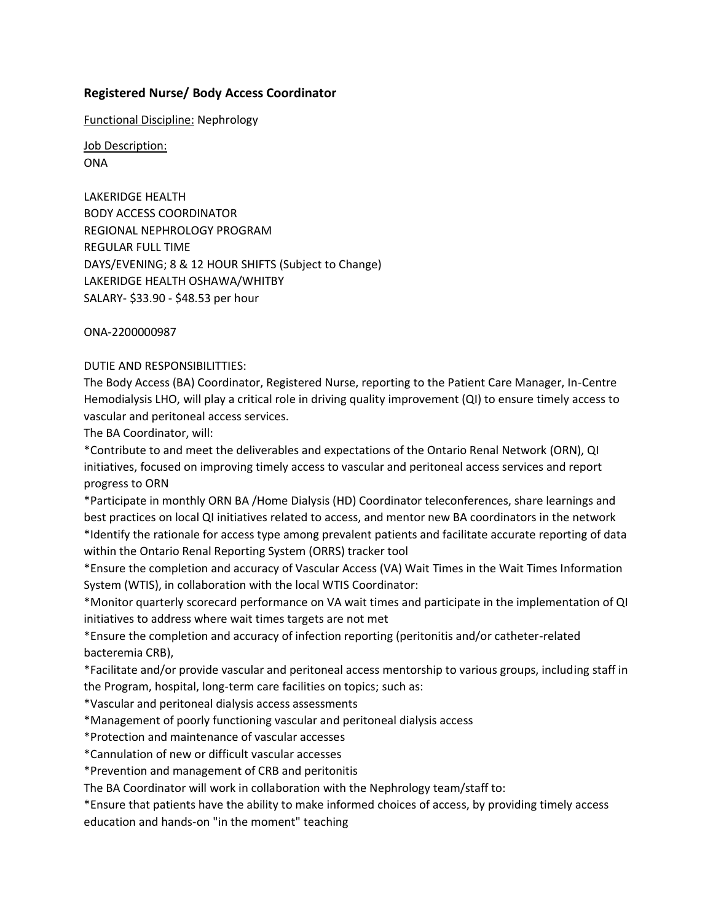## **Registered Nurse/ Body Access Coordinator**

Functional Discipline: Nephrology

Job Description: ONA

LAKERIDGE HEALTH BODY ACCESS COORDINATOR REGIONAL NEPHROLOGY PROGRAM REGULAR FULL TIME DAYS/EVENING; 8 & 12 HOUR SHIFTS (Subject to Change) LAKERIDGE HEALTH OSHAWA/WHITBY SALARY- \$33.90 - \$48.53 per hour

ONA-2200000987

## DUTIE AND RESPONSIBILITTIES:

The Body Access (BA) Coordinator, Registered Nurse, reporting to the Patient Care Manager, In-Centre Hemodialysis LHO, will play a critical role in driving quality improvement (QI) to ensure timely access to vascular and peritoneal access services.

The BA Coordinator, will:

\*Contribute to and meet the deliverables and expectations of the Ontario Renal Network (ORN), QI initiatives, focused on improving timely access to vascular and peritoneal access services and report progress to ORN

\*Participate in monthly ORN BA /Home Dialysis (HD) Coordinator teleconferences, share learnings and best practices on local QI initiatives related to access, and mentor new BA coordinators in the network \*Identify the rationale for access type among prevalent patients and facilitate accurate reporting of data within the Ontario Renal Reporting System (ORRS) tracker tool

\*Ensure the completion and accuracy of Vascular Access (VA) Wait Times in the Wait Times Information System (WTIS), in collaboration with the local WTIS Coordinator:

\*Monitor quarterly scorecard performance on VA wait times and participate in the implementation of QI initiatives to address where wait times targets are not met

\*Ensure the completion and accuracy of infection reporting (peritonitis and/or catheter-related bacteremia CRB),

\*Facilitate and/or provide vascular and peritoneal access mentorship to various groups, including staff in the Program, hospital, long-term care facilities on topics; such as:

\*Vascular and peritoneal dialysis access assessments

\*Management of poorly functioning vascular and peritoneal dialysis access

\*Protection and maintenance of vascular accesses

\*Cannulation of new or difficult vascular accesses

\*Prevention and management of CRB and peritonitis

The BA Coordinator will work in collaboration with the Nephrology team/staff to:

\*Ensure that patients have the ability to make informed choices of access, by providing timely access education and hands-on "in the moment" teaching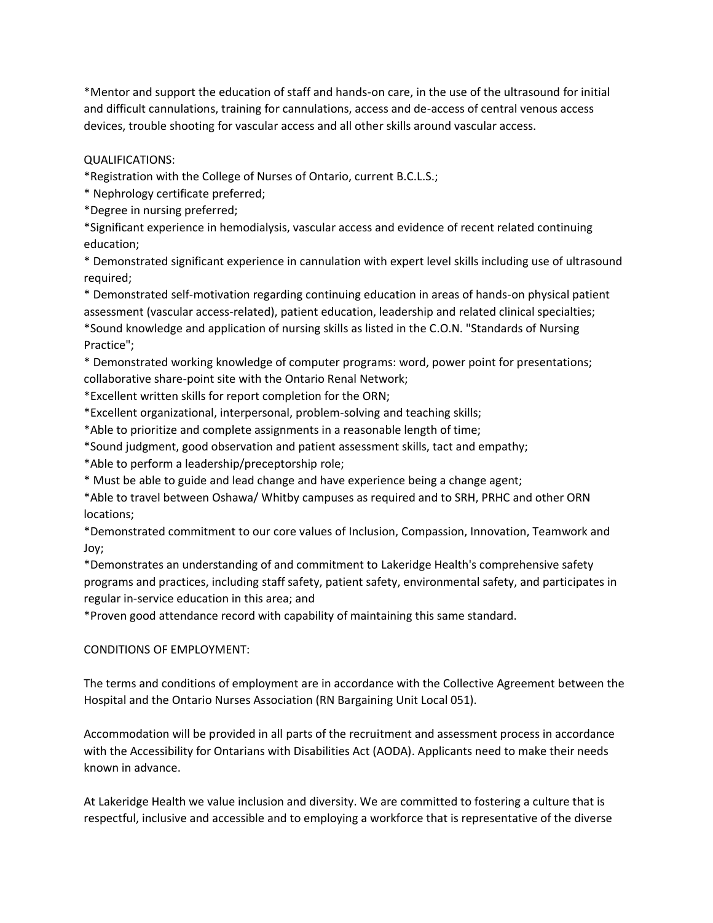\*Mentor and support the education of staff and hands-on care, in the use of the ultrasound for initial and difficult cannulations, training for cannulations, access and de-access of central venous access devices, trouble shooting for vascular access and all other skills around vascular access.

QUALIFICATIONS:

\*Registration with the College of Nurses of Ontario, current B.C.L.S.;

\* Nephrology certificate preferred;

\*Degree in nursing preferred;

\*Significant experience in hemodialysis, vascular access and evidence of recent related continuing education;

\* Demonstrated significant experience in cannulation with expert level skills including use of ultrasound required;

\* Demonstrated self-motivation regarding continuing education in areas of hands-on physical patient assessment (vascular access-related), patient education, leadership and related clinical specialties; \*Sound knowledge and application of nursing skills as listed in the C.O.N. "Standards of Nursing Practice";

\* Demonstrated working knowledge of computer programs: word, power point for presentations; collaborative share-point site with the Ontario Renal Network;

\*Excellent written skills for report completion for the ORN;

\*Excellent organizational, interpersonal, problem-solving and teaching skills;

\*Able to prioritize and complete assignments in a reasonable length of time;

\*Sound judgment, good observation and patient assessment skills, tact and empathy;

\*Able to perform a leadership/preceptorship role;

\* Must be able to guide and lead change and have experience being a change agent;

\*Able to travel between Oshawa/ Whitby campuses as required and to SRH, PRHC and other ORN locations;

\*Demonstrated commitment to our core values of Inclusion, Compassion, Innovation, Teamwork and Joy;

\*Demonstrates an understanding of and commitment to Lakeridge Health's comprehensive safety programs and practices, including staff safety, patient safety, environmental safety, and participates in regular in-service education in this area; and

\*Proven good attendance record with capability of maintaining this same standard.

## CONDITIONS OF EMPLOYMENT:

The terms and conditions of employment are in accordance with the Collective Agreement between the Hospital and the Ontario Nurses Association (RN Bargaining Unit Local 051).

Accommodation will be provided in all parts of the recruitment and assessment process in accordance with the Accessibility for Ontarians with Disabilities Act (AODA). Applicants need to make their needs known in advance.

At Lakeridge Health we value inclusion and diversity. We are committed to fostering a culture that is respectful, inclusive and accessible and to employing a workforce that is representative of the diverse